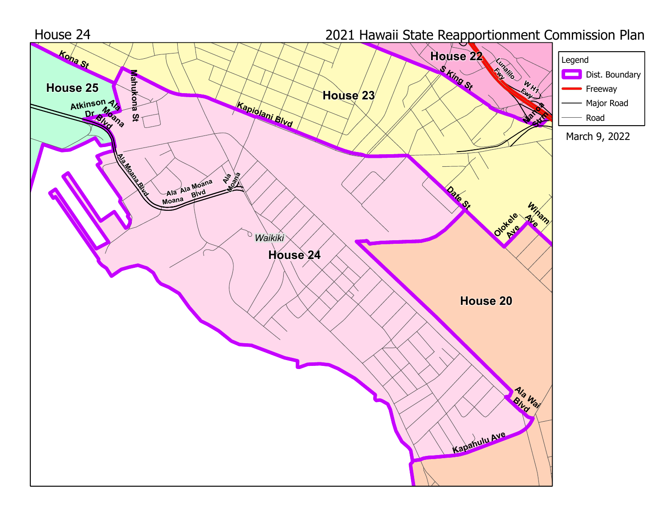